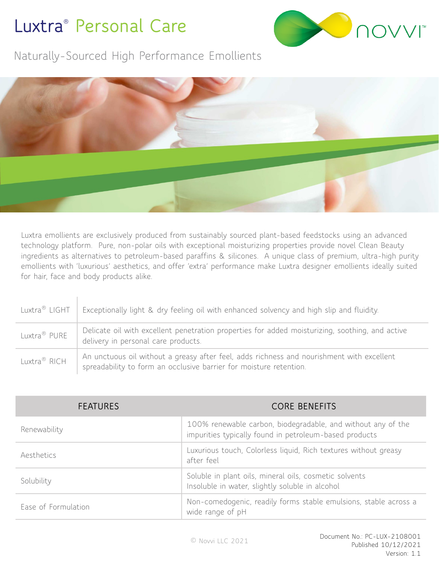## **Luxtra® Personal Care**



Naturally-Sourced High Performance Emollients



Luxtra emollients are exclusively produced from sustainably sourced plant-based feedstocks using an advanced technology platform. Pure, non-polar oils with exceptional moisturizing properties provide novel Clean Beauty ingredients as alternatives to petroleum-based paraffins & silicones. A unique class of premium, ultra-high purity emollients with 'luxurious' aesthetics, and offer 'extra' performance make Luxtra designer emollients ideally suited for hair, face and body products alike.

| Luxtra® LIGHT            | Exceptionally light & dry feeling oil with enhanced solvency and high slip and fluidity.                                                                        |
|--------------------------|-----------------------------------------------------------------------------------------------------------------------------------------------------------------|
| Luxtra® PURE             | Delicate oil with excellent penetration properties for added moisturizing, soothing, and active<br>delivery in personal care products.                          |
| Luxtra <sup>®</sup> RICH | An unctuous oil without a greasy after feel, adds richness and nourishment with excellent<br>spreadability to form an occlusive barrier for moisture retention. |

| <b>FEATURES</b>     | <b>CORE BENEFITS</b>                                                                                                   |  |  |
|---------------------|------------------------------------------------------------------------------------------------------------------------|--|--|
| Renewability        | 100% renewable carbon, biodegradable, and without any of the<br>impurities typically found in petroleum-based products |  |  |
| Aesthetics          | Luxurious touch, Colorless liquid, Rich textures without greasy<br>after feel                                          |  |  |
| Solubility          | Soluble in plant oils, mineral oils, cosmetic solvents<br>Insoluble in water, slightly soluble in alcohol              |  |  |
| Ease of Formulation | Non-comedogenic, readily forms stable emulsions, stable across a<br>wide range of pH                                   |  |  |